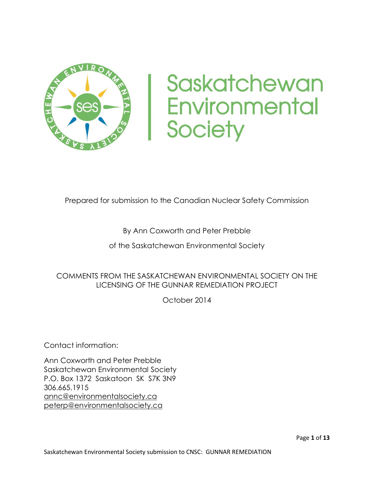

# Saskatchewan **Environmental Society**

#### Prepared for submission to the Canadian Nuclear Safety Commission

#### By Ann Coxworth and Peter Prebble

of the Saskatchewan Environmental Society

#### COMMENTS FROM THE SASKATCHEWAN ENVIRONMENTAL SOCIETY ON THE LICENSING OF THE GUNNAR REMEDIATION PROJECT

October 2014

Contact information:

Ann Coxworth and Peter Prebble Saskatchewan Environmental Society P.O. Box 1372 Saskatoon SK S7K 3N9 306.665.1915 [annc@environmentalsociety.ca](mailto:annc@environmentalsociety.ca) [peterp@environmentalsociety.ca](mailto:peterp@environmentalsociety.ca)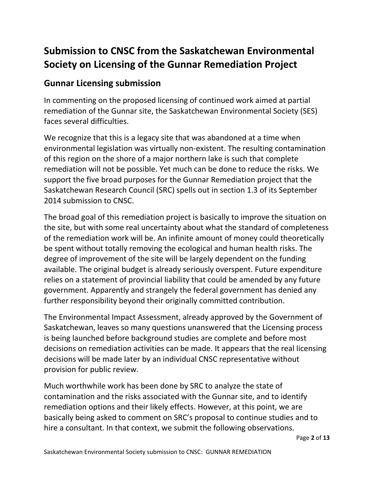## **Submission to CNSC from the Saskatchewan Environmental Society on Licensing of the Gunnar Remediation Project**

#### **Gunnar Licensing submission**

In commenting on the proposed licensing of continued work aimed at partial remediation of the Gunnar site, the Saskatchewan Environmental Society (SES) faces several difficulties.

We recognize that this is a legacy site that was abandoned at a time when environmental legislation was virtually non-existent. The resulting contamination of this region on the shore of a major northern lake is such that complete remediation will not be possible. Yet much can be done to reduce the risks. We support the five broad purposes for the Gunnar Remediation project that the Saskatchewan Research Council (SRC) spells out in section 1.3 of its September 2014 submission to CNSC.

The broad goal of this remediation project is basically to improve the situation on the site, but with some real uncertainty about what the standard of completeness of the remediation work will be. An infinite amount of money could theoretically be spent without totally removing the ecological and human health risks. The degree of improvement of the site will be largely dependent on the funding available. The original budget is already seriously overspent. Future expenditure relies on a statement of provincial liability that could be amended by any future government. Apparently and strangely the federal government has denied any further responsibility beyond their originally committed contribution.

The Environmental Impact Assessment, already approved by the Government of Saskatchewan, leaves so many questions unanswered that the Licensing process is being launched before background studies are complete and before most decisions on remediation activities can be made. It appears that the real licensing decisions will be made later by an individual CNSC representative without provision for public review.

Much worthwhile work has been done by SRC to analyze the state of contamination and the risks associated with the Gunnar site, and to identify remediation options and their likely effects. However, at this point, we are basically being asked to comment on SRC's proposal to continue studies and to hire a consultant. In that context, we submit the following observations.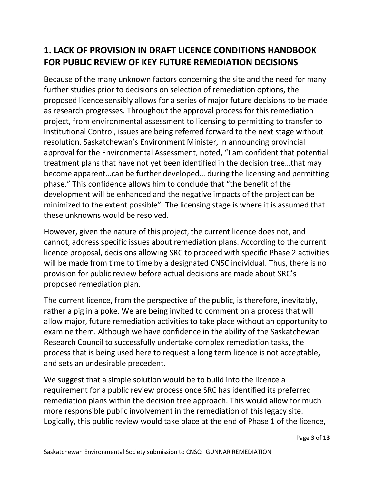## **1. LACK OF PROVISION IN DRAFT LICENCE CONDITIONS HANDBOOK FOR PUBLIC REVIEW OF KEY FUTURE REMEDIATION DECISIONS**

Because of the many unknown factors concerning the site and the need for many further studies prior to decisions on selection of remediation options, the proposed licence sensibly allows for a series of major future decisions to be made as research progresses. Throughout the approval process for this remediation project, from environmental assessment to licensing to permitting to transfer to Institutional Control, issues are being referred forward to the next stage without resolution. Saskatchewan's Environment Minister, in announcing provincial approval for the Environmental Assessment, noted, "I am confident that potential treatment plans that have not yet been identified in the decision tree…that may become apparent…can be further developed… during the licensing and permitting phase." This confidence allows him to conclude that "the benefit of the development will be enhanced and the negative impacts of the project can be minimized to the extent possible". The licensing stage is where it is assumed that these unknowns would be resolved.

However, given the nature of this project, the current licence does not, and cannot, address specific issues about remediation plans. According to the current licence proposal, decisions allowing SRC to proceed with specific Phase 2 activities will be made from time to time by a designated CNSC individual. Thus, there is no provision for public review before actual decisions are made about SRC's proposed remediation plan.

The current licence, from the perspective of the public, is therefore, inevitably, rather a pig in a poke. We are being invited to comment on a process that will allow major, future remediation activities to take place without an opportunity to examine them. Although we have confidence in the ability of the Saskatchewan Research Council to successfully undertake complex remediation tasks, the process that is being used here to request a long term licence is not acceptable, and sets an undesirable precedent.

We suggest that a simple solution would be to build into the licence a requirement for a public review process once SRC has identified its preferred remediation plans within the decision tree approach. This would allow for much more responsible public involvement in the remediation of this legacy site. Logically, this public review would take place at the end of Phase 1 of the licence,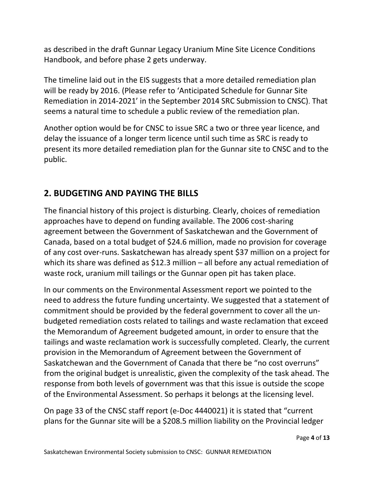as described in the draft Gunnar Legacy Uranium Mine Site Licence Conditions Handbook, and before phase 2 gets underway.

The timeline laid out in the EIS suggests that a more detailed remediation plan will be ready by 2016. (Please refer to 'Anticipated Schedule for Gunnar Site Remediation in 2014-2021' in the September 2014 SRC Submission to CNSC). That seems a natural time to schedule a public review of the remediation plan.

Another option would be for CNSC to issue SRC a two or three year licence, and delay the issuance of a longer term licence until such time as SRC is ready to present its more detailed remediation plan for the Gunnar site to CNSC and to the public.

## **2. BUDGETING AND PAYING THE BILLS**

The financial history of this project is disturbing. Clearly, choices of remediation approaches have to depend on funding available. The 2006 cost-sharing agreement between the Government of Saskatchewan and the Government of Canada, based on a total budget of \$24.6 million, made no provision for coverage of any cost over-runs. Saskatchewan has already spent \$37 million on a project for which its share was defined as \$12.3 million – all before any actual remediation of waste rock, uranium mill tailings or the Gunnar open pit has taken place.

In our comments on the Environmental Assessment report we pointed to the need to address the future funding uncertainty. We suggested that a statement of commitment should be provided by the federal government to cover all the unbudgeted remediation costs related to tailings and waste reclamation that exceed the Memorandum of Agreement budgeted amount, in order to ensure that the tailings and waste reclamation work is successfully completed. Clearly, the current provision in the Memorandum of Agreement between the Government of Saskatchewan and the Government of Canada that there be "no cost overruns" from the original budget is unrealistic, given the complexity of the task ahead. The response from both levels of government was that this issue is outside the scope of the Environmental Assessment. So perhaps it belongs at the licensing level.

On page 33 of the CNSC staff report (e-Doc 4440021) it is stated that "current plans for the Gunnar site will be a \$208.5 million liability on the Provincial ledger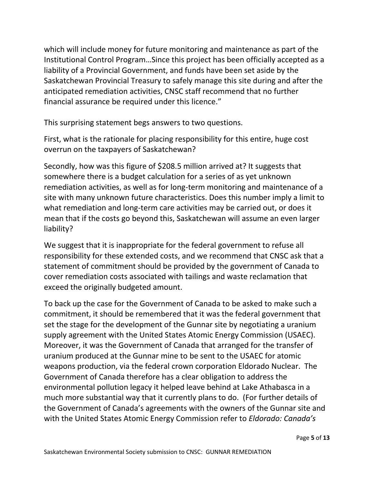which will include money for future monitoring and maintenance as part of the Institutional Control Program…Since this project has been officially accepted as a liability of a Provincial Government, and funds have been set aside by the Saskatchewan Provincial Treasury to safely manage this site during and after the anticipated remediation activities, CNSC staff recommend that no further financial assurance be required under this licence."

This surprising statement begs answers to two questions.

First, what is the rationale for placing responsibility for this entire, huge cost overrun on the taxpayers of Saskatchewan?

Secondly, how was this figure of \$208.5 million arrived at? It suggests that somewhere there is a budget calculation for a series of as yet unknown remediation activities, as well as for long-term monitoring and maintenance of a site with many unknown future characteristics. Does this number imply a limit to what remediation and long-term care activities may be carried out, or does it mean that if the costs go beyond this, Saskatchewan will assume an even larger liability?

We suggest that it is inappropriate for the federal government to refuse all responsibility for these extended costs, and we recommend that CNSC ask that a statement of commitment should be provided by the government of Canada to cover remediation costs associated with tailings and waste reclamation that exceed the originally budgeted amount.

To back up the case for the Government of Canada to be asked to make such a commitment, it should be remembered that it was the federal government that set the stage for the development of the Gunnar site by negotiating a uranium supply agreement with the United States Atomic Energy Commission (USAEC). Moreover, it was the Government of Canada that arranged for the transfer of uranium produced at the Gunnar mine to be sent to the USAEC for atomic weapons production, via the federal crown corporation Eldorado Nuclear. The Government of Canada therefore has a clear obligation to address the environmental pollution legacy it helped leave behind at Lake Athabasca in a much more substantial way that it currently plans to do. (For further details of the Government of Canada's agreements with the owners of the Gunnar site and with the United States Atomic Energy Commission refer to *Eldorado: Canada's*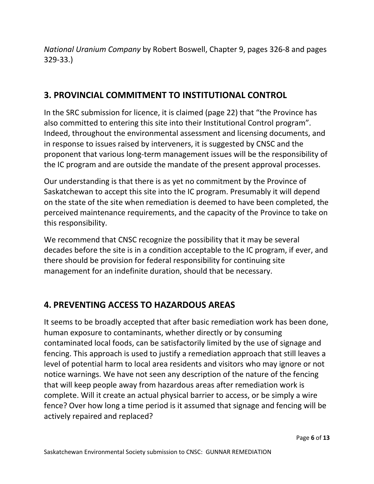*National Uranium Company* by Robert Boswell, Chapter 9, pages 326-8 and pages 329-33.)

#### **3. PROVINCIAL COMMITMENT TO INSTITUTIONAL CONTROL**

In the SRC submission for licence, it is claimed (page 22) that "the Province has also committed to entering this site into their Institutional Control program". Indeed, throughout the environmental assessment and licensing documents, and in response to issues raised by interveners, it is suggested by CNSC and the proponent that various long-term management issues will be the responsibility of the IC program and are outside the mandate of the present approval processes.

Our understanding is that there is as yet no commitment by the Province of Saskatchewan to accept this site into the IC program. Presumably it will depend on the state of the site when remediation is deemed to have been completed, the perceived maintenance requirements, and the capacity of the Province to take on this responsibility.

We recommend that CNSC recognize the possibility that it may be several decades before the site is in a condition acceptable to the IC program, if ever, and there should be provision for federal responsibility for continuing site management for an indefinite duration, should that be necessary.

## **4. PREVENTING ACCESS TO HAZARDOUS AREAS**

It seems to be broadly accepted that after basic remediation work has been done, human exposure to contaminants, whether directly or by consuming contaminated local foods, can be satisfactorily limited by the use of signage and fencing. This approach is used to justify a remediation approach that still leaves a level of potential harm to local area residents and visitors who may ignore or not notice warnings. We have not seen any description of the nature of the fencing that will keep people away from hazardous areas after remediation work is complete. Will it create an actual physical barrier to access, or be simply a wire fence? Over how long a time period is it assumed that signage and fencing will be actively repaired and replaced?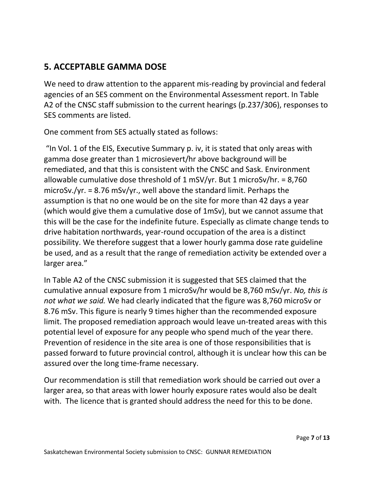#### **5. ACCEPTABLE GAMMA DOSE**

We need to draw attention to the apparent mis-reading by provincial and federal agencies of an SES comment on the Environmental Assessment report. In Table A2 of the CNSC staff submission to the current hearings (p.237/306), responses to SES comments are listed.

One comment from SES actually stated as follows:

"In Vol. 1 of the EIS, Executive Summary p. iv, it is stated that only areas with gamma dose greater than 1 microsievert/hr above background will be remediated, and that this is consistent with the CNSC and Sask. Environment allowable cumulative dose threshold of 1 mSV/yr. But 1 microSv/hr. = 8,760 microSv./yr. = 8.76 mSv/yr., well above the standard limit. Perhaps the assumption is that no one would be on the site for more than 42 days a year (which would give them a cumulative dose of 1mSv), but we cannot assume that this will be the case for the indefinite future. Especially as climate change tends to drive habitation northwards, year-round occupation of the area is a distinct possibility. We therefore suggest that a lower hourly gamma dose rate guideline be used, and as a result that the range of remediation activity be extended over a larger area."

In Table A2 of the CNSC submission it is suggested that SES claimed that the cumulative annual exposure from 1 microSv/hr would be 8,760 mSv/yr. *No, this is not what we said.* We had clearly indicated that the figure was 8,760 microSv or 8.76 mSv. This figure is nearly 9 times higher than the recommended exposure limit. The proposed remediation approach would leave un-treated areas with this potential level of exposure for any people who spend much of the year there. Prevention of residence in the site area is one of those responsibilities that is passed forward to future provincial control, although it is unclear how this can be assured over the long time-frame necessary.

Our recommendation is still that remediation work should be carried out over a larger area, so that areas with lower hourly exposure rates would also be dealt with. The licence that is granted should address the need for this to be done.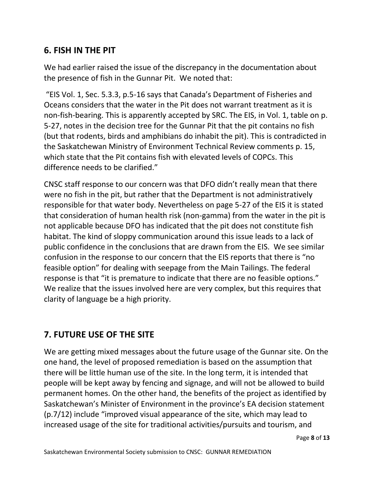#### **6. FISH IN THE PIT**

We had earlier raised the issue of the discrepancy in the documentation about the presence of fish in the Gunnar Pit. We noted that:

"EIS Vol. 1, Sec. 5.3.3, p.5-16 says that Canada's Department of Fisheries and Oceans considers that the water in the Pit does not warrant treatment as it is non-fish-bearing. This is apparently accepted by SRC. The EIS, in Vol. 1, table on p. 5-27, notes in the decision tree for the Gunnar Pit that the pit contains no fish (but that rodents, birds and amphibians do inhabit the pit). This is contradicted in the Saskatchewan Ministry of Environment Technical Review comments p. 15, which state that the Pit contains fish with elevated levels of COPCs. This difference needs to be clarified."

CNSC staff response to our concern was that DFO didn't really mean that there were no fish in the pit, but rather that the Department is not administratively responsible for that water body. Nevertheless on page 5-27 of the EIS it is stated that consideration of human health risk (non-gamma) from the water in the pit is not applicable because DFO has indicated that the pit does not constitute fish habitat. The kind of sloppy communication around this issue leads to a lack of public confidence in the conclusions that are drawn from the EIS. We see similar confusion in the response to our concern that the EIS reports that there is "no feasible option" for dealing with seepage from the Main Tailings. The federal response is that "it is premature to indicate that there are no feasible options." We realize that the issues involved here are very complex, but this requires that clarity of language be a high priority.

## **7. FUTURE USE OF THE SITE**

We are getting mixed messages about the future usage of the Gunnar site. On the one hand, the level of proposed remediation is based on the assumption that there will be little human use of the site. In the long term, it is intended that people will be kept away by fencing and signage, and will not be allowed to build permanent homes. On the other hand, the benefits of the project as identified by Saskatchewan's Minister of Environment in the province's EA decision statement (p.7/12) include "improved visual appearance of the site, which may lead to increased usage of the site for traditional activities/pursuits and tourism, and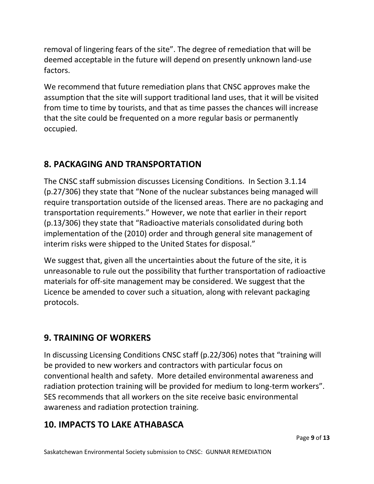removal of lingering fears of the site". The degree of remediation that will be deemed acceptable in the future will depend on presently unknown land-use factors.

We recommend that future remediation plans that CNSC approves make the assumption that the site will support traditional land uses, that it will be visited from time to time by tourists, and that as time passes the chances will increase that the site could be frequented on a more regular basis or permanently occupied.

## **8. PACKAGING AND TRANSPORTATION**

The CNSC staff submission discusses Licensing Conditions. In Section 3.1.14 (p.27/306) they state that "None of the nuclear substances being managed will require transportation outside of the licensed areas. There are no packaging and transportation requirements." However, we note that earlier in their report (p.13/306) they state that "Radioactive materials consolidated during both implementation of the (2010) order and through general site management of interim risks were shipped to the United States for disposal."

We suggest that, given all the uncertainties about the future of the site, it is unreasonable to rule out the possibility that further transportation of radioactive materials for off-site management may be considered. We suggest that the Licence be amended to cover such a situation, along with relevant packaging protocols.

## **9. TRAINING OF WORKERS**

In discussing Licensing Conditions CNSC staff (p.22/306) notes that "training will be provided to new workers and contractors with particular focus on conventional health and safety. More detailed environmental awareness and radiation protection training will be provided for medium to long-term workers". SES recommends that all workers on the site receive basic environmental awareness and radiation protection training.

#### **10. IMPACTS TO LAKE ATHABASCA**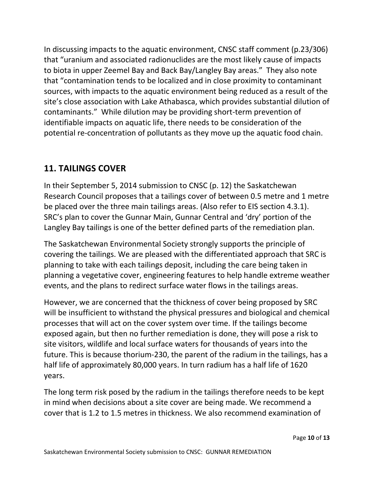In discussing impacts to the aquatic environment, CNSC staff comment (p.23/306) that "uranium and associated radionuclides are the most likely cause of impacts to biota in upper Zeemel Bay and Back Bay/Langley Bay areas." They also note that "contamination tends to be localized and in close proximity to contaminant sources, with impacts to the aquatic environment being reduced as a result of the site's close association with Lake Athabasca, which provides substantial dilution of contaminants." While dilution may be providing short-term prevention of identifiable impacts on aquatic life, there needs to be consideration of the potential re-concentration of pollutants as they move up the aquatic food chain.

#### **11. TAILINGS COVER**

In their September 5, 2014 submission to CNSC (p. 12) the Saskatchewan Research Council proposes that a tailings cover of between 0.5 metre and 1 metre be placed over the three main tailings areas. (Also refer to EIS section 4.3.1). SRC's plan to cover the Gunnar Main, Gunnar Central and 'dry' portion of the Langley Bay tailings is one of the better defined parts of the remediation plan.

The Saskatchewan Environmental Society strongly supports the principle of covering the tailings. We are pleased with the differentiated approach that SRC is planning to take with each tailings deposit, including the care being taken in planning a vegetative cover, engineering features to help handle extreme weather events, and the plans to redirect surface water flows in the tailings areas.

However, we are concerned that the thickness of cover being proposed by SRC will be insufficient to withstand the physical pressures and biological and chemical processes that will act on the cover system over time. If the tailings become exposed again, but then no further remediation is done, they will pose a risk to site visitors, wildlife and local surface waters for thousands of years into the future. This is because thorium-230, the parent of the radium in the tailings, has a half life of approximately 80,000 years. In turn radium has a half life of 1620 years.

The long term risk posed by the radium in the tailings therefore needs to be kept in mind when decisions about a site cover are being made. We recommend a cover that is 1.2 to 1.5 metres in thickness. We also recommend examination of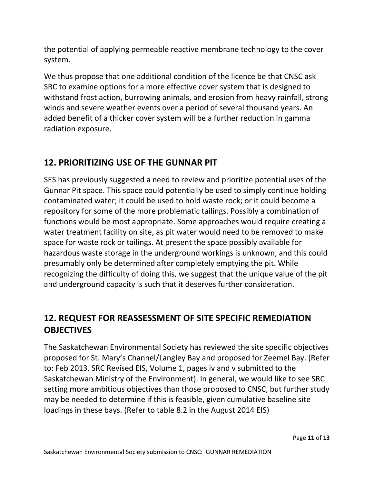the potential of applying permeable reactive membrane technology to the cover system.

We thus propose that one additional condition of the licence be that CNSC ask SRC to examine options for a more effective cover system that is designed to withstand frost action, burrowing animals, and erosion from heavy rainfall, strong winds and severe weather events over a period of several thousand years. An added benefit of a thicker cover system will be a further reduction in gamma radiation exposure.

#### **12. PRIORITIZING USE OF THE GUNNAR PIT**

SES has previously suggested a need to review and prioritize potential uses of the Gunnar Pit space. This space could potentially be used to simply continue holding contaminated water; it could be used to hold waste rock; or it could become a repository for some of the more problematic tailings. Possibly a combination of functions would be most appropriate. Some approaches would require creating a water treatment facility on site, as pit water would need to be removed to make space for waste rock or tailings. At present the space possibly available for hazardous waste storage in the underground workings is unknown, and this could presumably only be determined after completely emptying the pit. While recognizing the difficulty of doing this, we suggest that the unique value of the pit and underground capacity is such that it deserves further consideration.

## **12. REQUEST FOR REASSESSMENT OF SITE SPECIFIC REMEDIATION OBJECTIVES**

The Saskatchewan Environmental Society has reviewed the site specific objectives proposed for St. Mary's Channel/Langley Bay and proposed for Zeemel Bay. (Refer to: Feb 2013, SRC Revised EIS, Volume 1, pages iv and v submitted to the Saskatchewan Ministry of the Environment). In general, we would like to see SRC setting more ambitious objectives than those proposed to CNSC, but further study may be needed to determine if this is feasible, given cumulative baseline site loadings in these bays. (Refer to table 8.2 in the August 2014 EIS)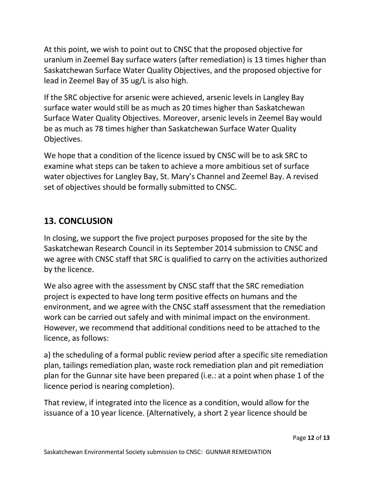At this point, we wish to point out to CNSC that the proposed objective for uranium in Zeemel Bay surface waters (after remediation) is 13 times higher than Saskatchewan Surface Water Quality Objectives, and the proposed objective for lead in Zeemel Bay of 35 ug/L is also high.

If the SRC objective for arsenic were achieved, arsenic levels in Langley Bay surface water would still be as much as 20 times higher than Saskatchewan Surface Water Quality Objectives. Moreover, arsenic levels in Zeemel Bay would be as much as 78 times higher than Saskatchewan Surface Water Quality Objectives.

We hope that a condition of the licence issued by CNSC will be to ask SRC to examine what steps can be taken to achieve a more ambitious set of surface water objectives for Langley Bay, St. Mary's Channel and Zeemel Bay. A revised set of objectives should be formally submitted to CNSC.

#### **13. CONCLUSION**

In closing, we support the five project purposes proposed for the site by the Saskatchewan Research Council in its September 2014 submission to CNSC and we agree with CNSC staff that SRC is qualified to carry on the activities authorized by the licence.

We also agree with the assessment by CNSC staff that the SRC remediation project is expected to have long term positive effects on humans and the environment, and we agree with the CNSC staff assessment that the remediation work can be carried out safely and with minimal impact on the environment. However, we recommend that additional conditions need to be attached to the licence, as follows:

a) the scheduling of a formal public review period after a specific site remediation plan, tailings remediation plan, waste rock remediation plan and pit remediation plan for the Gunnar site have been prepared (i.e.: at a point when phase 1 of the licence period is nearing completion).

That review, if integrated into the licence as a condition, would allow for the issuance of a 10 year licence. (Alternatively, a short 2 year licence should be